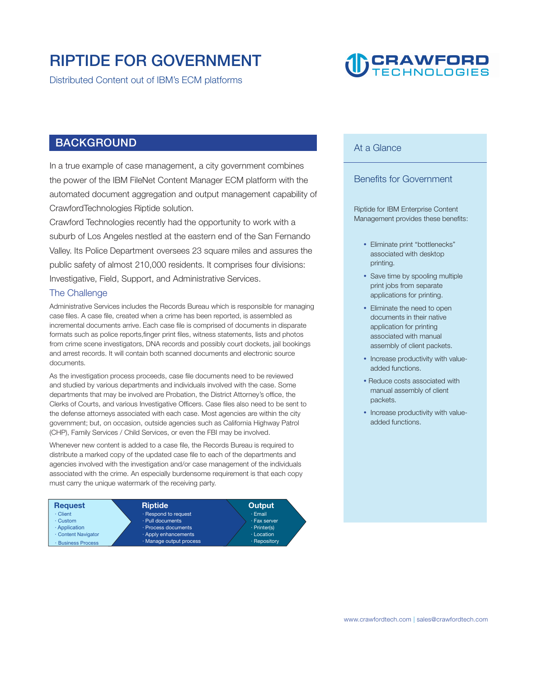### **RIPTIDE FOR GOVERNMENT**

**Distributed Content out of IBM's ECM platforms** 

## **UD CRAWFORD**

#### **BACKGROUND**

**In a true example of case management, a city government combines the power of the IBM FileNet Content Manager ECM platform with the automated document aggregation and output management capability of CrawfordTechnologies Riptide solution.** 

**Crawford Technologies recently had the opportunity to work with a suburb of Los Angeles nestled at the eastern end of the San Fernando Valley. Its Police Department oversees 23 square miles and assures the public safety of almost 210,000 residents. It comprises four divisions: Investigative, Field, Support, and Administrative Services.** 

#### **The Challenge**

**Administrative Services includes the Records Bureau which is responsible for managing case files. A case file, created when a crime has been reported, is assembled as incremental documents arrive. Each case file is comprised of documents in disparate formats such as police reports,finger print files, witness statements, lists and photos from crime scene investigators, DNA records and possibly court dockets, jail bookings and arrest records. It will contain both scanned documents and electronic source documents.** 

**As the investigation process proceeds, case file documents need to be reviewed and studied by various departments and individuals involved with the case. Some departments that may be involved are Probation, the District Attorney's office, the Clerks of Courts, and various Investigative Officers. Case files also need to be sent to the defense attorneys associated with each case. Most agencies are within the city government; but, on occasion, outside agencies such as California Highway Patrol (CHP), Family Services / Child Services, or even the FBI may be involved.** 

**Whenever new content is added to a case file, the Records Bureau is required to distribute a marked copy of the updated case file to each of the departments and agencies involved with the investigation and/or case management of the individuals associated with the crime. An especially burdensome requirement is that each copy must carry the unique watermark of the receiving party.** 



#### **At a Glance**

#### **Benefits for Government**

**Riptide for IBM Enterprise Content Management provides these benefits:** 

- **Eliminate print "bottlenecks" associated with desktop printing.**
- **Save time by spooling multiple print jobs from separate applications for printing.**
- **Eliminate the need to open documents in their native application for printing associated with manual assembly of client packets.**
- **Increase productivity with valueadded functions.**
- **Reduce costs associated with manual assembly of client packets.**
- **Increase productivity with valueadded functions.**

**| <www.crawfordtech.com>[sales@crawfordtech.com](mailto:sales@crawfordtech.com)**